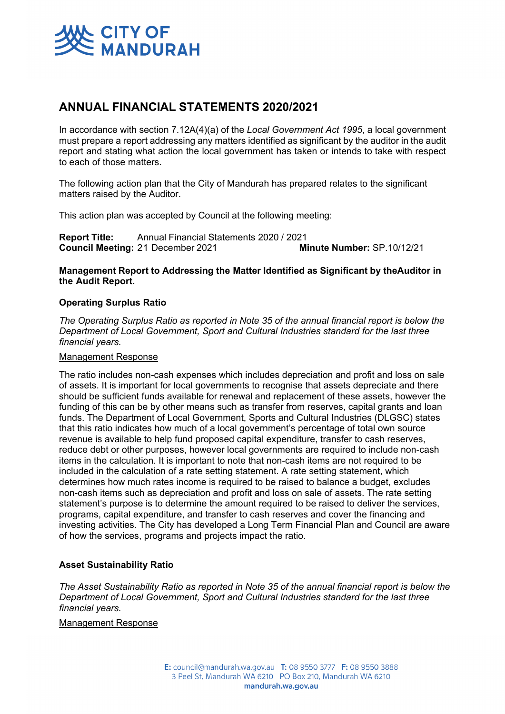

# **ANNUAL FINANCIAL STATEMENTS 2020/2021**

In accordance with section 7.12A(4)(a) of the *Local Government Act 1995*, a local government must prepare a report addressing any matters identified as significant by the auditor in the audit report and stating what action the local government has taken or intends to take with respect to each of those matters.

The following action plan that the City of Mandurah has prepared relates to the significant matters raised by the Auditor.

This action plan was accepted by Council at the following meeting:

**Report Title:** Annual Financial Statements 2020 / 2021 **Council Meeting:** 21 December 2021 **Minute Number:** SP.10/12/21

#### **Management Report to Addressing the Matter Identified as Significant by the Auditor in the Audit Report.**

## **Operating Surplus Ratio**

*The Operating Surplus Ratio as reported in Note 35 of the annual financial report is below the Department of Local Government, Sport and Cultural Industries standard for the last three financial years.*

#### Management Response

The ratio includes non-cash expenses which includes depreciation and profit and loss on sale of assets. It is important for local governments to recognise that assets depreciate and there should be sufficient funds available for renewal and replacement of these assets, however the funding of this can be by other means such as transfer from reserves, capital grants and loan funds. The Department of Local Government, Sports and Cultural Industries (DLGSC) states that this ratio indicates how much of a local government's percentage of total own source revenue is available to help fund proposed capital expenditure, transfer to cash reserves, reduce debt or other purposes, however local governments are required to include non-cash items in the calculation. It is important to note that non-cash items are not required to be included in the calculation of a rate setting statement. A rate setting statement, which determines how much rates income is required to be raised to balance a budget, excludes non-cash items such as depreciation and profit and loss on sale of assets. The rate setting statement's purpose is to determine the amount required to be raised to deliver the services, programs, capital expenditure, and transfer to cash reserves and cover the financing and investing activities. The City has developed a Long Term Financial Plan and Council are aware of how the services, programs and projects impact the ratio.

## **Asset Sustainability Ratio**

*The Asset Sustainability Ratio as reported in Note 35 of the annual financial report is below the Department of Local Government, Sport and Cultural Industries standard for the last three financial years.* 

#### Management Response